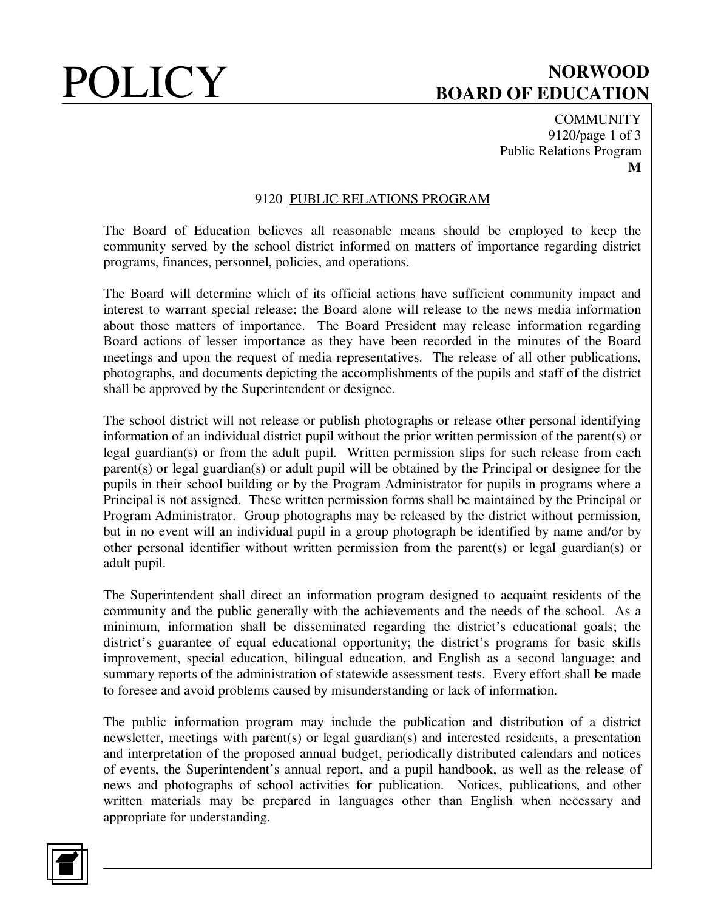# **POLICY** BOARD OF EDUCATION **BOARD OF EDUCATION**

**COMMUNITY** 9120/page 1 of 3 Public Relations Program **M** 

### 9120 PUBLIC RELATIONS PROGRAM

The Board of Education believes all reasonable means should be employed to keep the community served by the school district informed on matters of importance regarding district programs, finances, personnel, policies, and operations.

The Board will determine which of its official actions have sufficient community impact and interest to warrant special release; the Board alone will release to the news media information about those matters of importance. The Board President may release information regarding Board actions of lesser importance as they have been recorded in the minutes of the Board meetings and upon the request of media representatives. The release of all other publications, photographs, and documents depicting the accomplishments of the pupils and staff of the district shall be approved by the Superintendent or designee.

The school district will not release or publish photographs or release other personal identifying information of an individual district pupil without the prior written permission of the parent(s) or legal guardian(s) or from the adult pupil. Written permission slips for such release from each parent(s) or legal guardian(s) or adult pupil will be obtained by the Principal or designee for the pupils in their school building or by the Program Administrator for pupils in programs where a Principal is not assigned. These written permission forms shall be maintained by the Principal or Program Administrator. Group photographs may be released by the district without permission, but in no event will an individual pupil in a group photograph be identified by name and/or by other personal identifier without written permission from the parent(s) or legal guardian(s) or adult pupil.

The Superintendent shall direct an information program designed to acquaint residents of the community and the public generally with the achievements and the needs of the school. As a minimum, information shall be disseminated regarding the district's educational goals; the district's guarantee of equal educational opportunity; the district's programs for basic skills improvement, special education, bilingual education, and English as a second language; and summary reports of the administration of statewide assessment tests. Every effort shall be made to foresee and avoid problems caused by misunderstanding or lack of information.

The public information program may include the publication and distribution of a district newsletter, meetings with parent(s) or legal guardian(s) and interested residents, a presentation and interpretation of the proposed annual budget, periodically distributed calendars and notices of events, the Superintendent's annual report, and a pupil handbook, as well as the release of news and photographs of school activities for publication. Notices, publications, and other written materials may be prepared in languages other than English when necessary and appropriate for understanding.

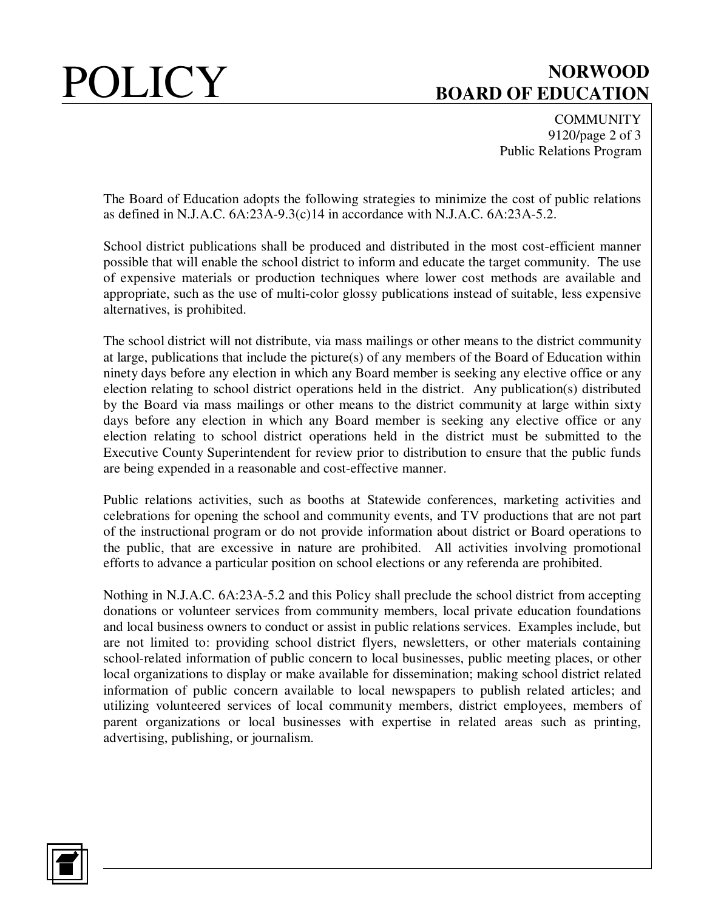# POLICY BOARD OF EDUCATION **BOARD OF EDUCATION**

**COMMUNITY** 9120/page 2 of 3 Public Relations Program

The Board of Education adopts the following strategies to minimize the cost of public relations as defined in N.J.A.C. 6A:23A-9.3(c)14 in accordance with N.J.A.C. 6A:23A-5.2.

School district publications shall be produced and distributed in the most cost-efficient manner possible that will enable the school district to inform and educate the target community. The use of expensive materials or production techniques where lower cost methods are available and appropriate, such as the use of multi-color glossy publications instead of suitable, less expensive alternatives, is prohibited.

The school district will not distribute, via mass mailings or other means to the district community at large, publications that include the picture(s) of any members of the Board of Education within ninety days before any election in which any Board member is seeking any elective office or any election relating to school district operations held in the district. Any publication(s) distributed by the Board via mass mailings or other means to the district community at large within sixty days before any election in which any Board member is seeking any elective office or any election relating to school district operations held in the district must be submitted to the Executive County Superintendent for review prior to distribution to ensure that the public funds are being expended in a reasonable and cost-effective manner.

Public relations activities, such as booths at Statewide conferences, marketing activities and celebrations for opening the school and community events, and TV productions that are not part of the instructional program or do not provide information about district or Board operations to the public, that are excessive in nature are prohibited. All activities involving promotional efforts to advance a particular position on school elections or any referenda are prohibited.

Nothing in N.J.A.C. 6A:23A-5.2 and this Policy shall preclude the school district from accepting donations or volunteer services from community members, local private education foundations and local business owners to conduct or assist in public relations services. Examples include, but are not limited to: providing school district flyers, newsletters, or other materials containing school-related information of public concern to local businesses, public meeting places, or other local organizations to display or make available for dissemination; making school district related information of public concern available to local newspapers to publish related articles; and utilizing volunteered services of local community members, district employees, members of parent organizations or local businesses with expertise in related areas such as printing, advertising, publishing, or journalism.